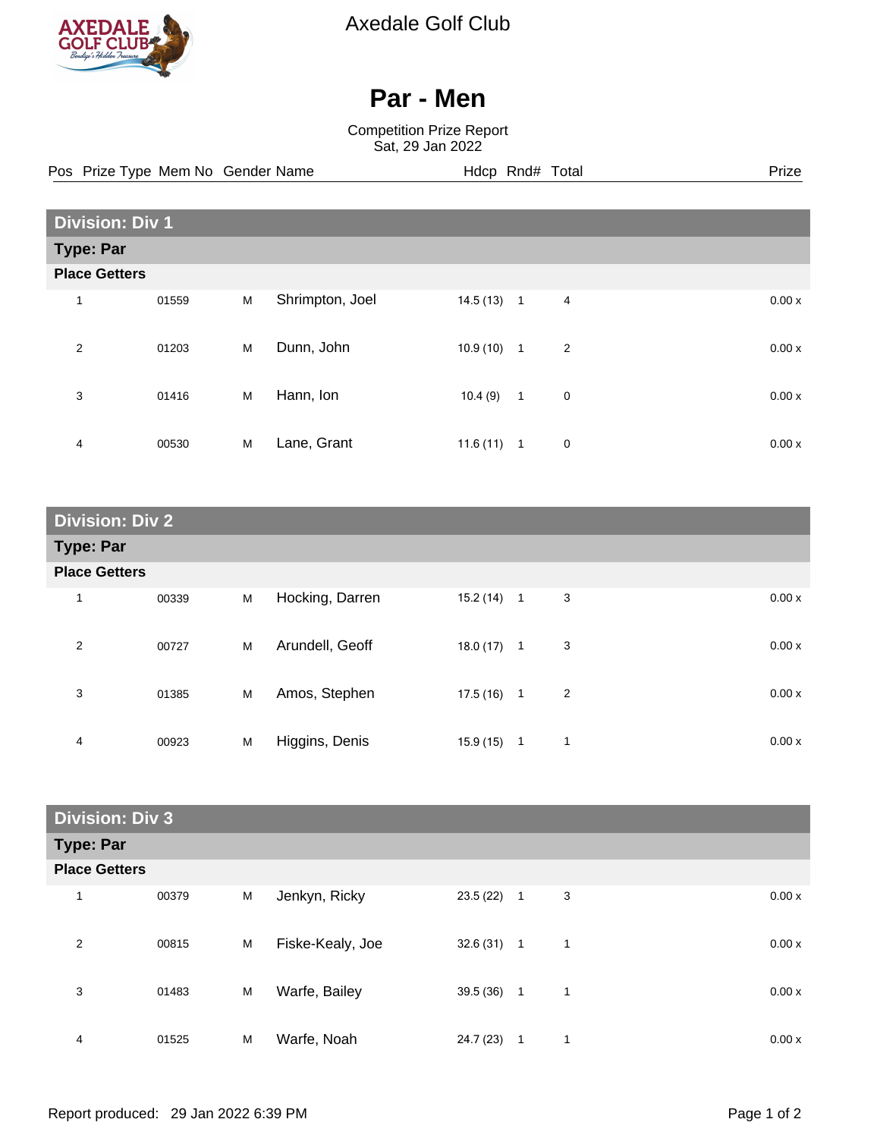

Axedale Golf Club

## **Par - Men**

Competition Prize Report Sat, 29 Jan 2022

**Division: Div 1 Type: Par Place Getters** 1 01559 M Shrimpton, Joel 14.5 (13) 1 4 0.00 x 2 01203 M Dunn, John 10.9 (10) 1 2 0.00 x 3 01416 M Hann, Ion 10.4 (9) 1 0 0.00 x 4 00530 M Lane, Grant 11.6 (11) 1 0 0.00 x Pos Prize Type Mem No Gender Name **Hdcp Rnd# Total** Prize Prize

| <b>Division: Div 2</b> |       |   |                 |              |                   |       |
|------------------------|-------|---|-----------------|--------------|-------------------|-------|
| <b>Type: Par</b>       |       |   |                 |              |                   |       |
| <b>Place Getters</b>   |       |   |                 |              |                   |       |
| 1                      | 00339 | M | Hocking, Darren | $15.2(14)$ 1 | 3                 | 0.00x |
| 2                      | 00727 | M | Arundell, Geoff | $18.0(17)$ 1 | 3                 | 0.00x |
| 3                      | 01385 | M | Amos, Stephen   | 17.5 (16)    | 2<br>$\mathbf{1}$ | 0.00x |
| 4                      | 00923 | M | Higgins, Denis  | 15.9 (15)    | 1<br>$\mathbf{1}$ | 0.00x |

| <b>Division: Div 3</b> |       |   |                  |              |              |   |  |       |
|------------------------|-------|---|------------------|--------------|--------------|---|--|-------|
| <b>Type: Par</b>       |       |   |                  |              |              |   |  |       |
| <b>Place Getters</b>   |       |   |                  |              |              |   |  |       |
| 1                      | 00379 | M | Jenkyn, Ricky    | $23.5(22)$ 1 |              | 3 |  | 0.00x |
| $\overline{2}$         | 00815 | M | Fiske-Kealy, Joe | $32.6(31)$ 1 |              | 1 |  | 0.00x |
| 3                      | 01483 | M | Warfe, Bailey    | 39.5(36)     | $\mathbf{1}$ | 1 |  | 0.00x |
| 4                      | 01525 | M | Warfe, Noah      | 24.7 (23)    | 1            | и |  | 0.00x |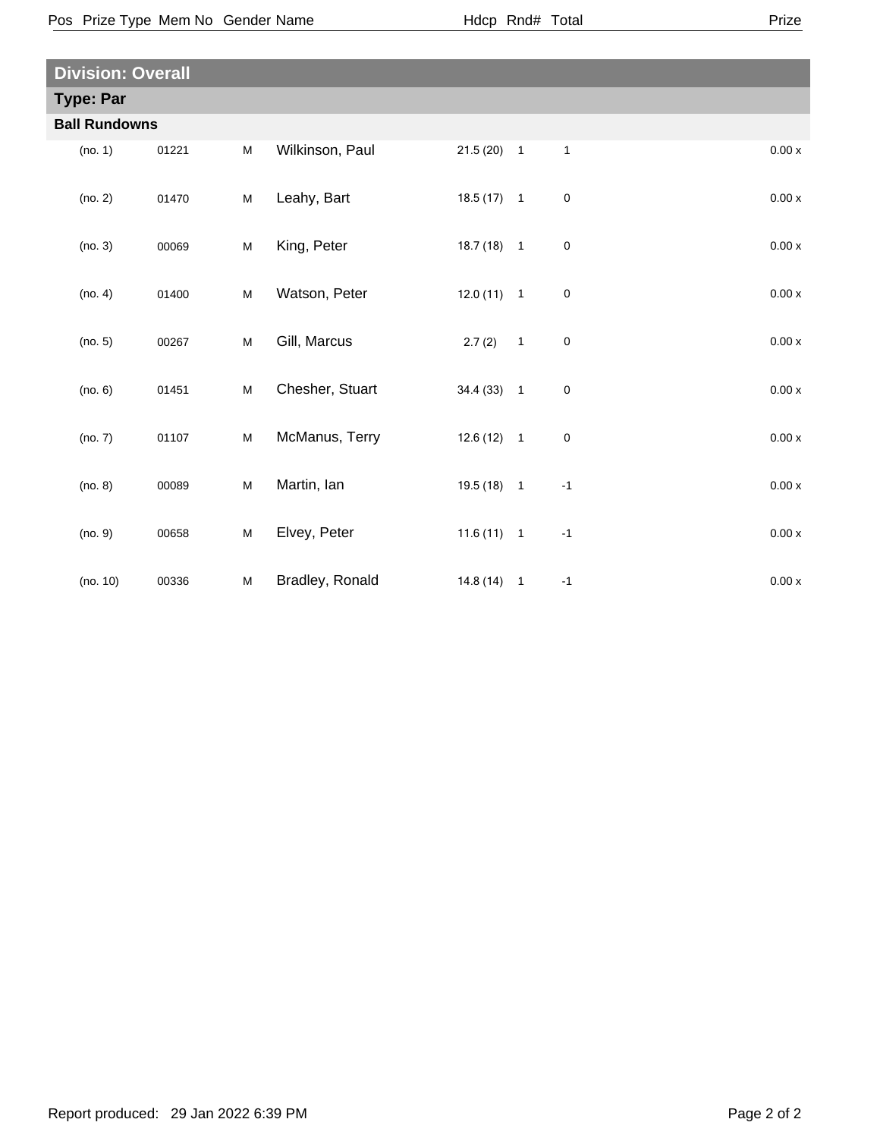Pos Prize Type Mem No Gender Name **Health Hotal** Hdcp Rnd# Total

| <b>Division: Overall</b> |                      |       |           |                 |              |              |              |                    |
|--------------------------|----------------------|-------|-----------|-----------------|--------------|--------------|--------------|--------------------|
| <b>Type: Par</b>         |                      |       |           |                 |              |              |              |                    |
|                          | <b>Ball Rundowns</b> |       |           |                 |              |              |              |                    |
|                          | (no. 1)              | 01221 | M         | Wilkinson, Paul | $21.5(20)$ 1 |              | $\mathbf{1}$ | 0.00x              |
|                          | (no. 2)              | 01470 | ${\sf M}$ | Leahy, Bart     | $18.5(17)$ 1 |              | $\mathsf 0$  | 0.00 x             |
|                          | (no. 3)              | 00069 | M         | King, Peter     | $18.7(18)$ 1 |              | $\pmb{0}$    | $0.00x$            |
|                          | (no. 4)              | 01400 | M         | Watson, Peter   | $12.0(11)$ 1 |              | $\pmb{0}$    | $0.00x$            |
|                          | (no. 5)              | 00267 | M         | Gill, Marcus    | 2.7(2)       | $\mathbf{1}$ | $\mathsf 0$  | $0.00x$            |
|                          | (no. 6)              | 01451 | M         | Chesher, Stuart | $34.4(33)$ 1 |              | $\pmb{0}$    | $0.00\,\mathrm{x}$ |
|                          | (no. 7)              | 01107 | M         | McManus, Terry  | $12.6(12)$ 1 |              | $\pmb{0}$    | $0.00x$            |
|                          | (no. 8)              | 00089 | M         | Martin, Ian     | $19.5(18)$ 1 |              | $-1$         | $0.00x$            |
|                          | (no. 9)              | 00658 | ${\sf M}$ | Elvey, Peter    | $11.6(11)$ 1 |              | $-1$         | $0.00x$            |
|                          | (no. 10)             | 00336 | M         | Bradley, Ronald | $14.8(14)$ 1 |              | $-1$         | 0.00x              |